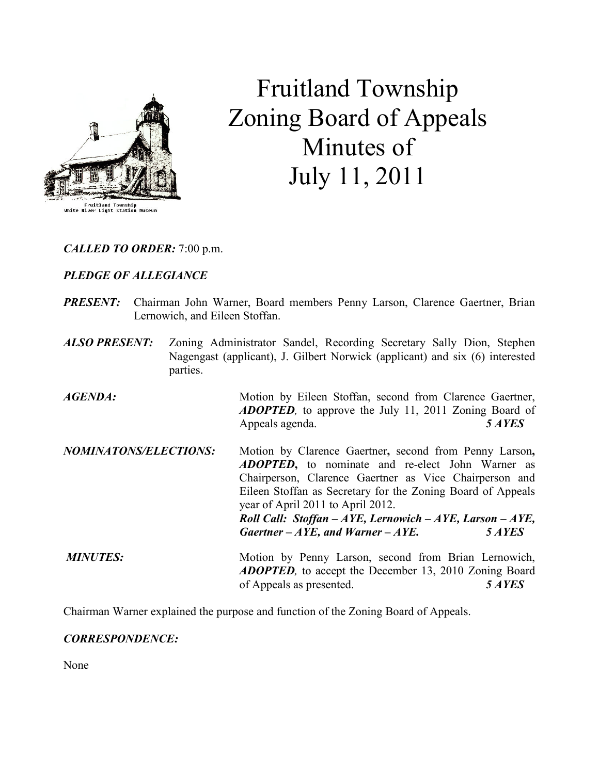

# Fruitland Township Zoning Board of Appeals Minutes of July 11, 2011

CALLED TO ORDER: 7:00 p.m.

# PLEDGE OF ALLEGIANCE

- PRESENT: Chairman John Warner, Board members Penny Larson, Clarence Gaertner, Brian Lernowich, and Eileen Stoffan.
- ALSO PRESENT: Zoning Administrator Sandel, Recording Secretary Sally Dion, Stephen Nagengast (applicant), J. Gilbert Norwick (applicant) and six (6) interested parties.

AGENDA: Motion by Eileen Stoffan, second from Clarence Gaertner, **ADOPTED**, to approve the July 11, 2011 Zoning Board of Appeals agenda. 5 AYES

NOMINATONS/ELECTIONS: Motion by Clarence Gaertner, second from Penny Larson, ADOPTED, to nominate and re-elect John Warner as Chairperson, Clarence Gaertner as Vice Chairperson and Eileen Stoffan as Secretary for the Zoning Board of Appeals year of April 2011 to April 2012. Roll Call: Stoffan – AYE, Lernowich – AYE, Larson – AYE, Gaertner –  $AYE$ , and Warner –  $AYE$ . 5 AYES MINUTES: Motion by Penny Larson, second from Brian Lernowich, ADOPTED, to accept the December 13, 2010 Zoning Board

of Appeals as presented. 5 AYES

Chairman Warner explained the purpose and function of the Zoning Board of Appeals.

# CORRESPONDENCE:

None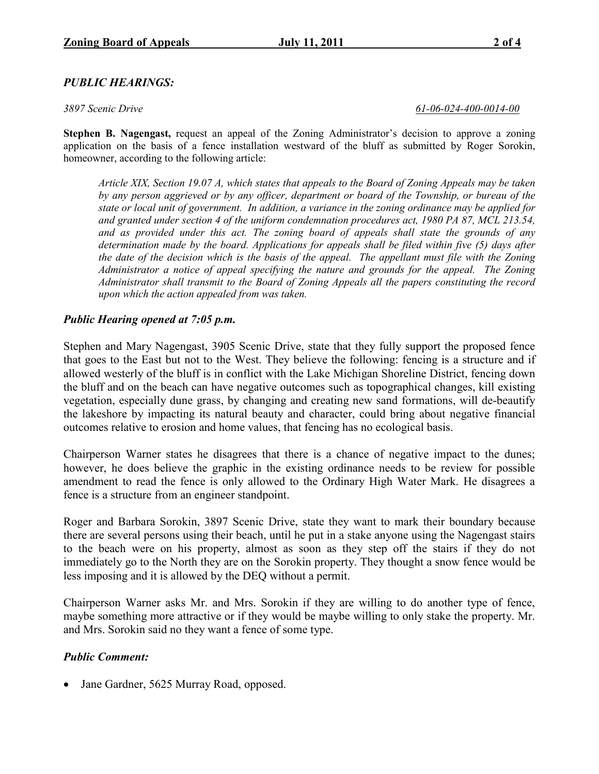# PUBLIC HEARINGS:

3897 Scenic Drive 61-06-024-400-0014-00

Stephen B. Nagengast, request an appeal of the Zoning Administrator's decision to approve a zoning application on the basis of a fence installation westward of the bluff as submitted by Roger Sorokin, homeowner, according to the following article:

Article XIX, Section 19.07 A, which states that appeals to the Board of Zoning Appeals may be taken by any person aggrieved or by any officer, department or board of the Township, or bureau of the state or local unit of government. In addition, a variance in the zoning ordinance may be applied for and granted under section 4 of the uniform condemnation procedures act, 1980 PA 87, MCL 213.54, and as provided under this act. The zoning board of appeals shall state the grounds of any determination made by the board. Applications for appeals shall be filed within five (5) days after the date of the decision which is the basis of the appeal. The appellant must file with the Zoning Administrator a notice of appeal specifying the nature and grounds for the appeal. The Zoning Administrator shall transmit to the Board of Zoning Appeals all the papers constituting the record upon which the action appealed from was taken.

#### Public Hearing opened at 7:05 p.m.

Stephen and Mary Nagengast, 3905 Scenic Drive, state that they fully support the proposed fence that goes to the East but not to the West. They believe the following: fencing is a structure and if allowed westerly of the bluff is in conflict with the Lake Michigan Shoreline District, fencing down the bluff and on the beach can have negative outcomes such as topographical changes, kill existing vegetation, especially dune grass, by changing and creating new sand formations, will de-beautify the lakeshore by impacting its natural beauty and character, could bring about negative financial outcomes relative to erosion and home values, that fencing has no ecological basis.

Chairperson Warner states he disagrees that there is a chance of negative impact to the dunes; however, he does believe the graphic in the existing ordinance needs to be review for possible amendment to read the fence is only allowed to the Ordinary High Water Mark. He disagrees a fence is a structure from an engineer standpoint.

Roger and Barbara Sorokin, 3897 Scenic Drive, state they want to mark their boundary because there are several persons using their beach, until he put in a stake anyone using the Nagengast stairs to the beach were on his property, almost as soon as they step off the stairs if they do not immediately go to the North they are on the Sorokin property. They thought a snow fence would be less imposing and it is allowed by the DEQ without a permit.

Chairperson Warner asks Mr. and Mrs. Sorokin if they are willing to do another type of fence, maybe something more attractive or if they would be maybe willing to only stake the property. Mr. and Mrs. Sorokin said no they want a fence of some type.

# Public Comment:

• Jane Gardner, 5625 Murray Road, opposed.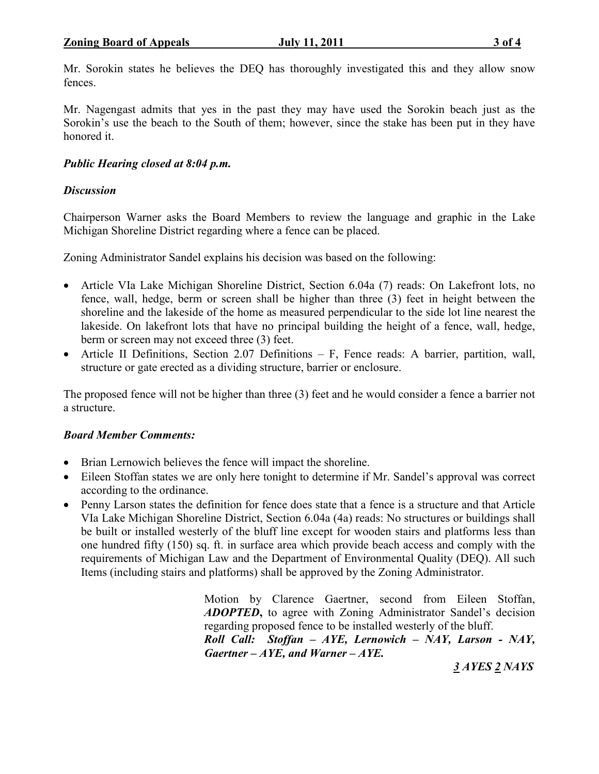Mr. Sorokin states he believes the DEQ has thoroughly investigated this and they allow snow fences.

Mr. Nagengast admits that yes in the past they may have used the Sorokin beach just as the Sorokin's use the beach to the South of them; however, since the stake has been put in they have honored it.

# Public Hearing closed at 8:04 p.m.

# **Discussion**

Chairperson Warner asks the Board Members to review the language and graphic in the Lake Michigan Shoreline District regarding where a fence can be placed.

Zoning Administrator Sandel explains his decision was based on the following:

- Article VIa Lake Michigan Shoreline District, Section 6.04a (7) reads: On Lakefront lots, no fence, wall, hedge, berm or screen shall be higher than three (3) feet in height between the shoreline and the lakeside of the home as measured perpendicular to the side lot line nearest the lakeside. On lakefront lots that have no principal building the height of a fence, wall, hedge, berm or screen may not exceed three (3) feet.
- Article II Definitions, Section 2.07 Definitions F, Fence reads: A barrier, partition, wall, structure or gate erected as a dividing structure, barrier or enclosure.

The proposed fence will not be higher than three (3) feet and he would consider a fence a barrier not a structure.

# Board Member Comments:

- Brian Lernowich believes the fence will impact the shoreline.
- Eileen Stoffan states we are only here tonight to determine if Mr. Sandel's approval was correct according to the ordinance.
- Penny Larson states the definition for fence does state that a fence is a structure and that Article VIa Lake Michigan Shoreline District, Section 6.04a (4a) reads: No structures or buildings shall be built or installed westerly of the bluff line except for wooden stairs and platforms less than one hundred fifty (150) sq. ft. in surface area which provide beach access and comply with the requirements of Michigan Law and the Department of Environmental Quality (DEQ). All such Items (including stairs and platforms) shall be approved by the Zoning Administrator.

Motion by Clarence Gaertner, second from Eileen Stoffan, ADOPTED, to agree with Zoning Administrator Sandel's decision regarding proposed fence to be installed westerly of the bluff.

Roll Call: Stoffan – AYE, Lernowich – NAY, Larson - NAY, Gaertner –  $AYE$ , and Warner –  $AYE$ .

3 AYES 2 NAYS